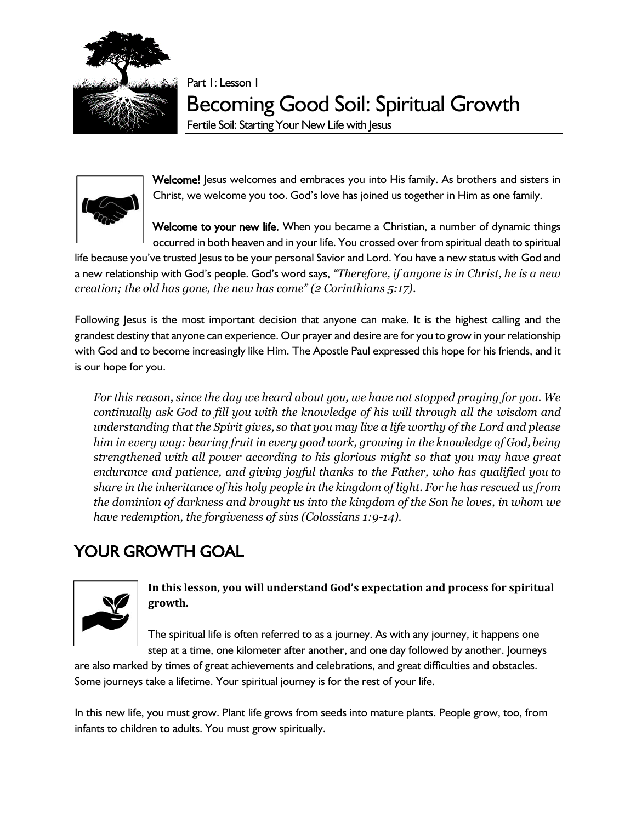

Part 1: Lesson 1

Becoming Good Soil: Spiritual Growth

Fertile Soil: Starting Your New Life with Jesus



Welcome! Jesus welcomes and embraces you into His family. As brothers and sisters in Christ, we welcome you too. God's love has joined us together in Him as one family.

Welcome to your new life. When you became a Christian, a number of dynamic things occurred in both heaven and in your life. You crossed over from spiritual death to spiritual

life because you've trusted Jesus to be your personal Savior and Lord. You have a new status with God and a new relationship with God's people. God's word says, *"Therefore, if anyone is in Christ, he is a new creation; the old has gone, the new has come" (2 Corinthians 5:17)*.

Following Jesus is the most important decision that anyone can make. It is the highest calling and the grandest destiny that anyone can experience. Our prayer and desire are for you to grow in your relationship with God and to become increasingly like Him. The Apostle Paul expressed this hope for his friends, and it is our hope for you.

*For this reason, since the day we heard about you, we have not stopped praying for you. We continually ask God to fill you with the knowledge of his will through all the wisdom and understanding that the Spirit gives, so that you may live a life worthy of the Lord and please him in every way: bearing fruit in every good work, growing in the knowledge of God, being strengthened with all power according to his glorious might so that you may have great endurance and patience, and giving joyful thanks to the Father, who has qualified you to share in the inheritance of his holy people in the kingdom of light. For he has rescued us from the dominion of darkness and brought us into the kingdom of the Son he loves, in whom we have redemption, the forgiveness of sins (Colossians 1:9-14).*

# YOUR GROWTH GOAL



## **In this lesson, you will understand God's expectation and process for spiritual growth.**

The spiritual life is often referred to as a journey. As with any journey, it happens one step at a time, one kilometer after another, and one day followed by another. Journeys

are also marked by times of great achievements and celebrations, and great difficulties and obstacles. Some journeys take a lifetime. Your spiritual journey is for the rest of your life.

In this new life, you must grow. Plant life grows from seeds into mature plants. People grow, too, from infants to children to adults. You must grow spiritually.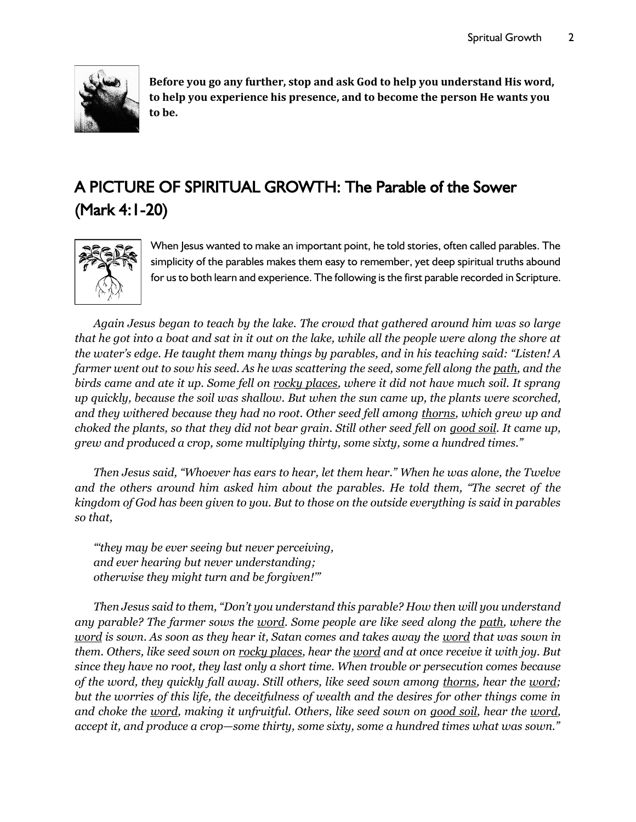

**Before you go any further, stop and ask God to help you understand His word, to help you experience his presence, and to become the person He wants you to be.**

# A PICTURE OF SPIRITUAL GROWTH: The Parable of the Sower (Mark 4:1-20)



When Jesus wanted to make an important point, he told stories, often called parables. The simplicity of the parables makes them easy to remember, yet deep spiritual truths abound for us to both learn and experience. The following is the first parable recorded in Scripture.

*Again Jesus began to teach by the lake. The crowd that gathered around him was so large that he got into a boat and sat in it out on the lake, while all the people were along the shore at the water's edge. He taught them many things by parables, and in his teaching said: "Listen! A farmer went out to sow his seed. As he was scattering the seed, some fell along the path, and the birds came and ate it up. Some fell on rocky places, where it did not have much soil. It sprang up quickly, because the soil was shallow. But when the sun came up, the plants were scorched, and they withered because they had no root. Other seed fell among thorns, which grew up and choked the plants, so that they did not bear grain. Still other seed fell on good soil. It came up, grew and produced a crop, some multiplying thirty, some sixty, some a hundred times."* 

*Then Jesus said, "Whoever has ears to hear, let them hear." When he was alone, the Twelve and the others around him asked him about the parables. He told them, "The secret of the kingdom of God has been given to you. But to those on the outside everything is said in parables so that,*

*"'they may be ever seeing but never perceiving, and ever hearing but never understanding; otherwise they might turn and be forgiven!'"* 

*Then Jesus said to them, "Don't you understand this parable? How then will you understand any parable? The farmer sows the word. Some people are like seed along the path, where the word is sown. As soon as they hear it, Satan comes and takes away the word that was sown in them. Others, like seed sown on rocky places, hear the word and at once receive it with joy. But since they have no root, they last only a short time. When trouble or persecution comes because of the word, they quickly fall away. Still others, like seed sown among thorns, hear the word; but the worries of this life, the deceitfulness of wealth and the desires for other things come in and choke the word, making it unfruitful. Others, like seed sown on good soil, hear the word, accept it, and produce a crop—some thirty, some sixty, some a hundred times what was sown."*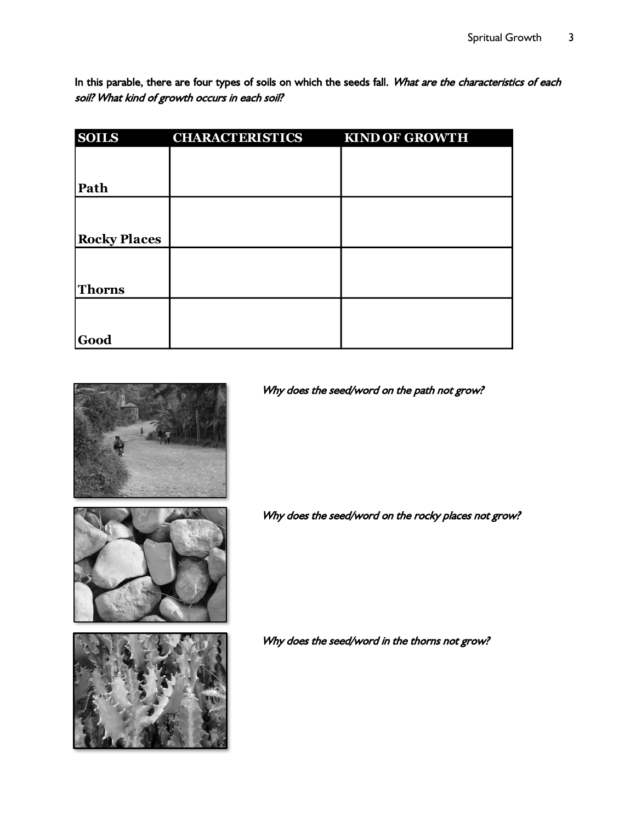In this parable, there are four types of soils on which the seeds fall. What are the characteristics of each soil? What kind of growth occurs in each soil?

| <b>SOILS</b>        | <b>CHARACTERISTICS</b> | <b>KIND OF GROWTH</b> |
|---------------------|------------------------|-----------------------|
|                     |                        |                       |
|                     |                        |                       |
| Path                |                        |                       |
|                     |                        |                       |
|                     |                        |                       |
| <b>Rocky Places</b> |                        |                       |
|                     |                        |                       |
|                     |                        |                       |
| <b>Thorns</b>       |                        |                       |
|                     |                        |                       |
|                     |                        |                       |
| Good                |                        |                       |





Why does the seed/word on the path not grow?

Why does the seed/word on the rocky places not grow?

Why does the seed/word in the thorns not grow?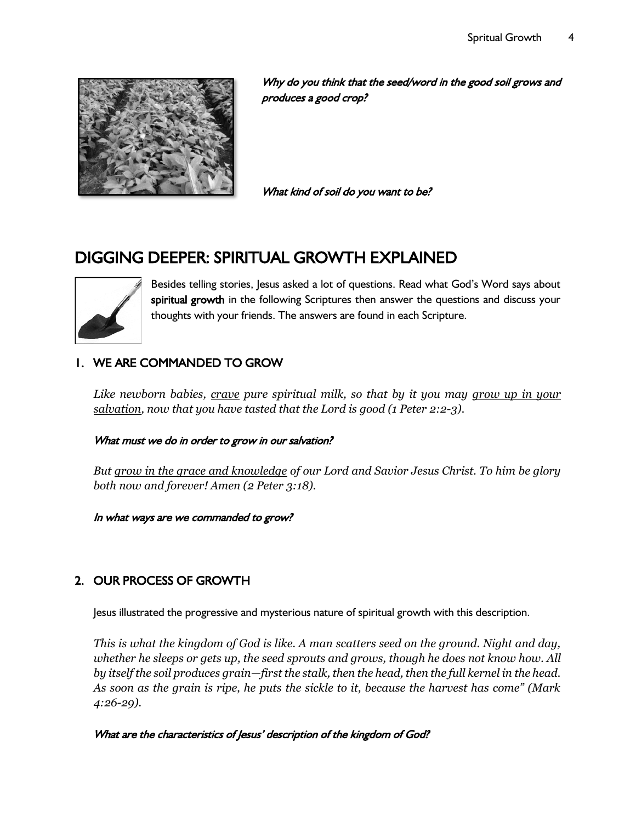

Why do you think that the seed/word in the good soil grows and produces a good crop?

What kind of soil do you want to be?

## DIGGING DEEPER: SPIRITUAL GROWTH EXPLAINED



Besides telling stories, Jesus asked a lot of questions. Read what God's Word says about spiritual growth in the following Scriptures then answer the questions and discuss your thoughts with your friends. The answers are found in each Scripture.

## 1. WE ARE COMMANDED TO GROW

*Like newborn babies, crave pure spiritual milk, so that by it you may grow up in your salvation, now that you have tasted that the Lord is good (1 Peter 2:2-3).*

#### What must we do in order to grow in our salvation?

*But grow in the grace and knowledge of our Lord and Savior Jesus Christ. To him be glory both now and forever! Amen (2 Peter 3:18).*

In what ways are we commanded to grow?

## 2. OUR PROCESS OF GROWTH

Jesus illustrated the progressive and mysterious nature of spiritual growth with this description.

*This is what the kingdom of God is like. A man scatters seed on the ground. Night and day, whether he sleeps or gets up, the seed sprouts and grows, though he does not know how. All by itself the soil produces grain—first the stalk, then the head, then the full kernel in the head. As soon as the grain is ripe, he puts the sickle to it, because the harvest has come" (Mark 4:26-29).*

What are the characteristics of Jesus' description of the kingdom of God?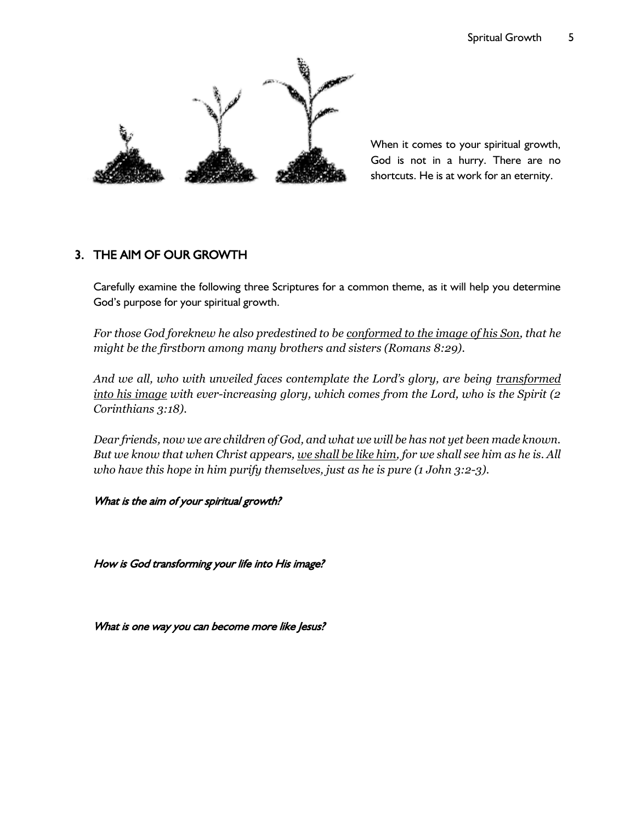

When it comes to your spiritual growth, God is not in a hurry. There are no shortcuts. He is at work for an eternity.

## 3. THE AIM OF OUR GROWTH

Carefully examine the following three Scriptures for a common theme, as it will help you determine God's purpose for your spiritual growth.

*For those God foreknew he also predestined to be conformed to the image of his Son, that he might be the firstborn among many brothers and sisters (Romans 8:29).*

And we all, who with unveiled faces contemplate the Lord's glory, are being transformed *into his image with ever-increasing glory, which comes from the Lord, who is the Spirit (2 Corinthians 3:18).*

*Dear friends, now we are children of God, and what we will be has not yet been made known. But we know that when Christ appears, we shall be like him, for we shall see him as he is. All who have this hope in him purify themselves, just as he is pure (1 John 3:2-3).*

What is the aim of your spiritual growth?

How is God transforming your life into His image?

What is one way you can become more like Jesus?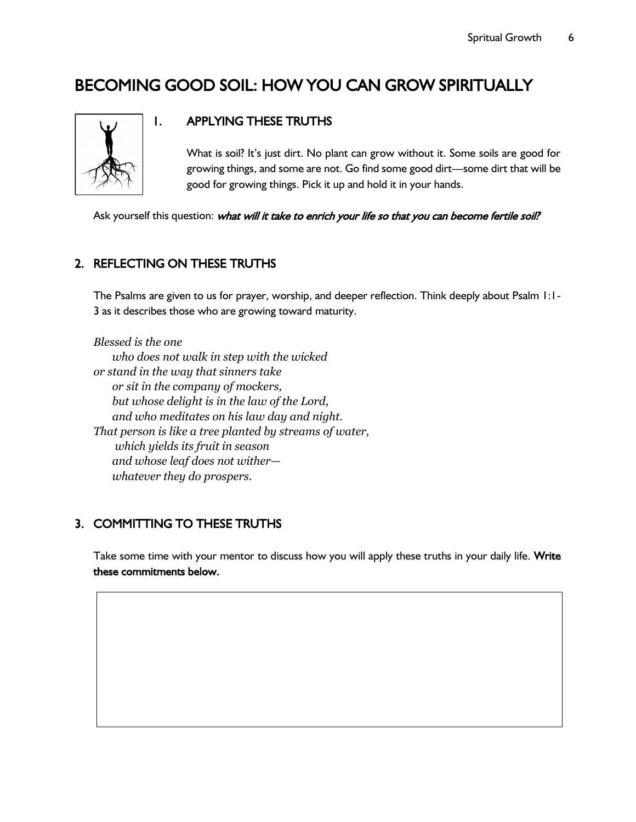## BECOMING GOOD SOIL: HOW YOU CAN GROW SPIRITUALLY



## 1. APPLYING THESE TRUTHS

What is soil? It's just dirt. No plant can grow without it. Some soils are good for growing things, and some are not. Go find some good dirt—some dirt that will be good for growing things. Pick it up and hold it in your hands.

Ask yourself this question: what will it take to enrich your life so that you can become fertile soil?

#### 2. REFLECTING ON THESE TRUTHS

The Psalms are given to us for prayer, worship, and deeper reflection. Think deeply about Psalm 1:1- 3 as it describes those who are growing toward maturity.

*Blessed is the one who does not walk in step with the wicked or stand in the way that sinners take or sit in the company of mockers, but whose delight is in the law of the Lord, and who meditates on his law day and night. That person is like a tree planted by streams of water, which yields its fruit in season and whose leaf does not wither whatever they do prospers.*

## 3. COMMITTING TO THESE TRUTHS

Take some time with your mentor to discuss how you will apply these truths in your daily life. Write these commitments below.